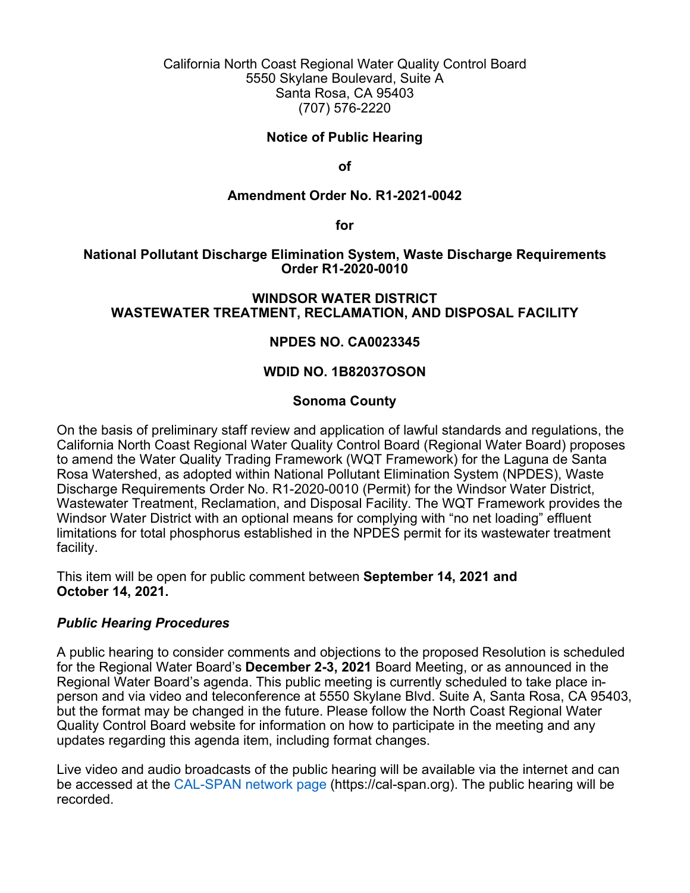California North Coast Regional Water Quality Control Board 5550 Skylane Boulevard, Suite A Santa Rosa, CA 95403 (707) 576-2220

### **Notice of Public Hearing**

**of**

#### **Amendment Order No. R1-2021-0042**

**for**

## **National Pollutant Discharge Elimination System, Waste Discharge Requirements Order R1-2020-0010**

## **WINDSOR WATER DISTRICT WASTEWATER TREATMENT, RECLAMATION, AND DISPOSAL FACILITY**

#### **NPDES NO. CA0023345**

## **WDID NO. 1B82037OSON**

#### **Sonoma County**

On the basis of preliminary staff review and application of lawful standards and regulations, the California North Coast Regional Water Quality Control Board (Regional Water Board) proposes to amend the Water Quality Trading Framework (WQT Framework) for the Laguna de Santa Rosa Watershed, as adopted within National Pollutant Elimination System (NPDES), Waste Discharge Requirements Order No. R1-2020-0010 (Permit) for the Windsor Water District, Wastewater Treatment, Reclamation, and Disposal Facility. The WQT Framework provides the Windsor Water District with an optional means for complying with "no net loading" effluent limitations for total phosphorus established in the NPDES permit for its wastewater treatment facility.

This item will be open for public comment between **September 14, 2021 and October 14, 2021.**

#### *Public Hearing Procedures*

A public hearing to consider comments and objections to the proposed Resolution is scheduled for the Regional Water Board's **December 2-3, 2021** Board Meeting, or as announced in the Regional Water Board's agenda. This public meeting is currently scheduled to take place inperson and via video and teleconference at 5550 Skylane Blvd. Suite A, Santa Rosa, CA 95403, but the format may be changed in the future. Please follow the North Coast Regional Water Quality Control Board website for information on how to participate in the meeting and any updates regarding this agenda item, including format changes.

Live video and audio broadcasts of the public hearing will be available via the internet and can be accessed at the [CAL-SPAN network page](https://cal-span.org/) [\(https://cal-span.org](https://cal-span.org/)). The public hearing will be recorded.